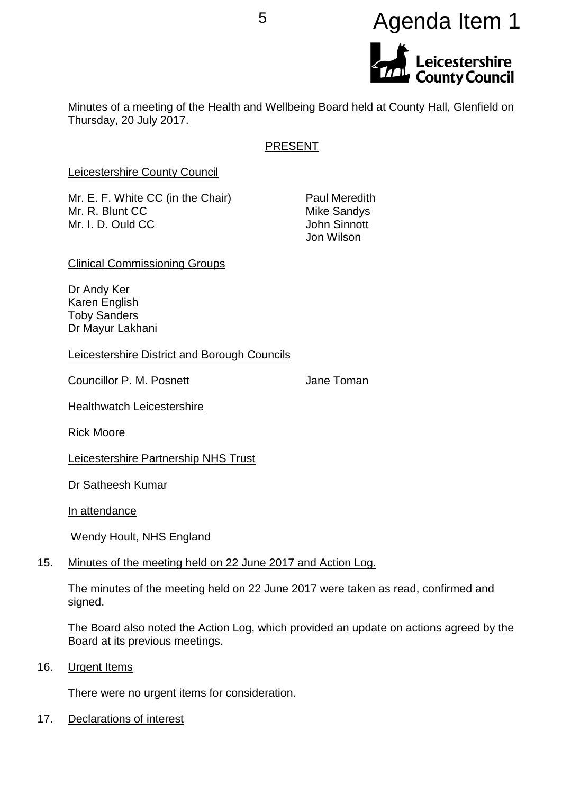# <sup>5</sup> Agenda Item 1Leicestershire<br>County Council

Minutes of a meeting of the Health and Wellbeing Board held at County Hall, Glenfield on Thursday, 20 July 2017.

## PRESENT

Leicestershire County Council

Mr. E. F. White CC (in the Chair) Paul Meredith Mr. R. Blunt CC Mike Sandys Mr. I. D. Ould CC **John Sinnott** 

Jon Wilson

Clinical Commissioning Groups

Dr Andy Ker Karen English Toby Sanders Dr Mayur Lakhani

Leicestershire District and Borough Councils

Councillor P. M. Posnett **Councillor P. M. Posnett** Jane Toman

**Healthwatch Leicestershire** 

Rick Moore

Leicestershire Partnership NHS Trust

Dr Satheesh Kumar

In attendance

Wendy Hoult, NHS England

## 15. Minutes of the meeting held on 22 June 2017 and Action Log.

The minutes of the meeting held on 22 June 2017 were taken as read, confirmed and signed.

The Board also noted the Action Log, which provided an update on actions agreed by the Board at its previous meetings.

16. Urgent Items

There were no urgent items for consideration.

17. Declarations of interest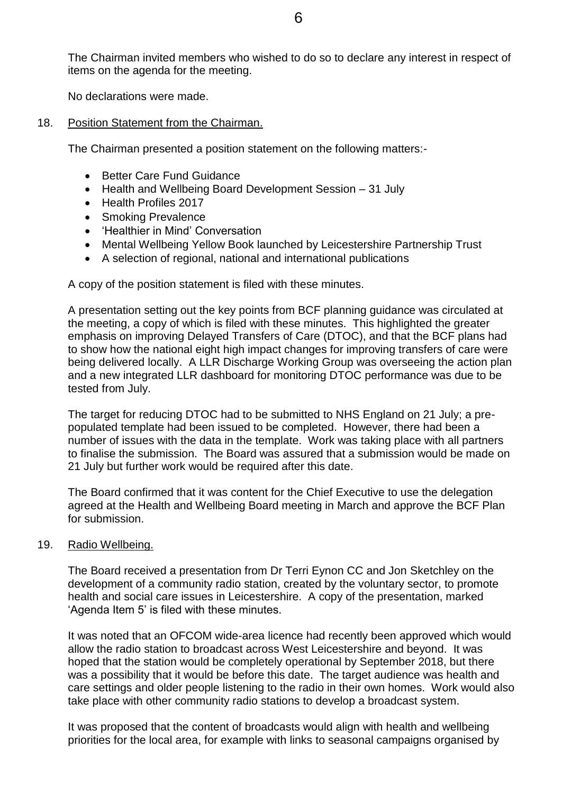The Chairman invited members who wished to do so to declare any interest in respect of items on the agenda for the meeting.

No declarations were made.

18. Position Statement from the Chairman.

The Chairman presented a position statement on the following matters:-

- Better Care Fund Guidance
- Health and Wellbeing Board Development Session 31 July
- Health Profiles 2017
- Smoking Prevalence
- Healthier in Mind' Conversation
- Mental Wellbeing Yellow Book launched by Leicestershire Partnership Trust
- A selection of regional, national and international publications

A copy of the position statement is filed with these minutes.

A presentation setting out the key points from BCF planning guidance was circulated at the meeting, a copy of which is filed with these minutes. This highlighted the greater emphasis on improving Delayed Transfers of Care (DTOC), and that the BCF plans had to show how the national eight high impact changes for improving transfers of care were being delivered locally. A LLR Discharge Working Group was overseeing the action plan and a new integrated LLR dashboard for monitoring DTOC performance was due to be tested from July.

The target for reducing DTOC had to be submitted to NHS England on 21 July; a prepopulated template had been issued to be completed. However, there had been a number of issues with the data in the template. Work was taking place with all partners to finalise the submission. The Board was assured that a submission would be made on 21 July but further work would be required after this date.

The Board confirmed that it was content for the Chief Executive to use the delegation agreed at the Health and Wellbeing Board meeting in March and approve the BCF Plan for submission.

#### 19. Radio Wellbeing.

The Board received a presentation from Dr Terri Eynon CC and Jon Sketchley on the development of a community radio station, created by the voluntary sector, to promote health and social care issues in Leicestershire. A copy of the presentation, marked 'Agenda Item 5' is filed with these minutes.

It was noted that an OFCOM wide-area licence had recently been approved which would allow the radio station to broadcast across West Leicestershire and beyond. It was hoped that the station would be completely operational by September 2018, but there was a possibility that it would be before this date. The target audience was health and care settings and older people listening to the radio in their own homes. Work would also take place with other community radio stations to develop a broadcast system.

It was proposed that the content of broadcasts would align with health and wellbeing priorities for the local area, for example with links to seasonal campaigns organised by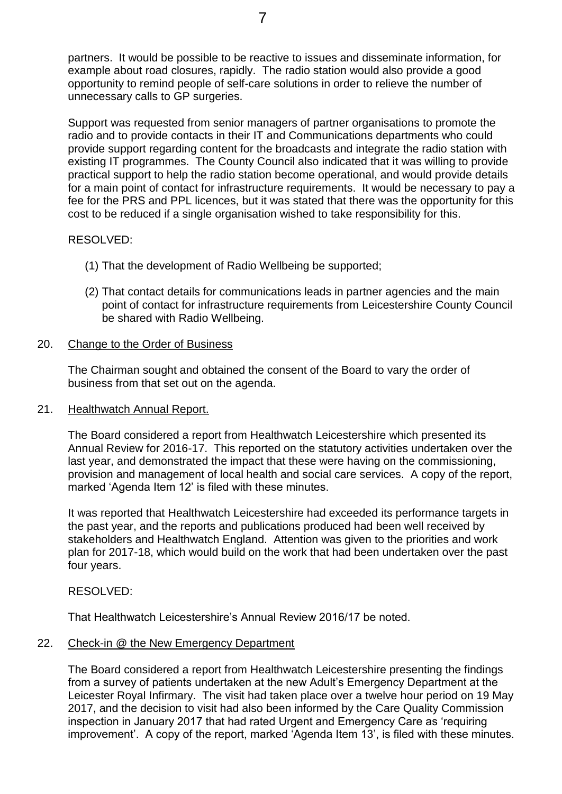partners. It would be possible to be reactive to issues and disseminate information, for example about road closures, rapidly. The radio station would also provide a good opportunity to remind people of self-care solutions in order to relieve the number of unnecessary calls to GP surgeries.

Support was requested from senior managers of partner organisations to promote the radio and to provide contacts in their IT and Communications departments who could provide support regarding content for the broadcasts and integrate the radio station with existing IT programmes. The County Council also indicated that it was willing to provide practical support to help the radio station become operational, and would provide details for a main point of contact for infrastructure requirements. It would be necessary to pay a fee for the PRS and PPL licences, but it was stated that there was the opportunity for this cost to be reduced if a single organisation wished to take responsibility for this.

## RESOLVED:

- (1) That the development of Radio Wellbeing be supported;
- (2) That contact details for communications leads in partner agencies and the main point of contact for infrastructure requirements from Leicestershire County Council be shared with Radio Wellbeing.

## 20. Change to the Order of Business

The Chairman sought and obtained the consent of the Board to vary the order of business from that set out on the agenda.

## 21. Healthwatch Annual Report.

The Board considered a report from Healthwatch Leicestershire which presented its Annual Review for 2016-17. This reported on the statutory activities undertaken over the last year, and demonstrated the impact that these were having on the commissioning, provision and management of local health and social care services. A copy of the report, marked 'Agenda Item 12' is filed with these minutes.

It was reported that Healthwatch Leicestershire had exceeded its performance targets in the past year, and the reports and publications produced had been well received by stakeholders and Healthwatch England. Attention was given to the priorities and work plan for 2017-18, which would build on the work that had been undertaken over the past four years.

## RESOLVED:

That Healthwatch Leicestershire's Annual Review 2016/17 be noted.

## 22. Check-in @ the New Emergency Department

The Board considered a report from Healthwatch Leicestershire presenting the findings from a survey of patients undertaken at the new Adult's Emergency Department at the Leicester Royal Infirmary. The visit had taken place over a twelve hour period on 19 May 2017, and the decision to visit had also been informed by the Care Quality Commission inspection in January 2017 that had rated Urgent and Emergency Care as 'requiring improvement'. A copy of the report, marked 'Agenda Item 13', is filed with these minutes.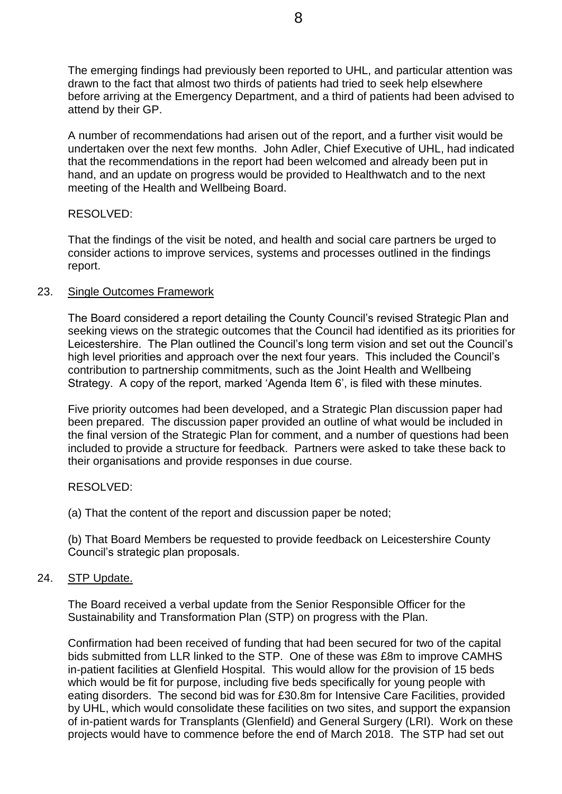The emerging findings had previously been reported to UHL, and particular attention was drawn to the fact that almost two thirds of patients had tried to seek help elsewhere before arriving at the Emergency Department, and a third of patients had been advised to attend by their GP.

A number of recommendations had arisen out of the report, and a further visit would be undertaken over the next few months. John Adler, Chief Executive of UHL, had indicated that the recommendations in the report had been welcomed and already been put in hand, and an update on progress would be provided to Healthwatch and to the next meeting of the Health and Wellbeing Board.

## RESOLVED:

That the findings of the visit be noted, and health and social care partners be urged to consider actions to improve services, systems and processes outlined in the findings report.

## 23. Single Outcomes Framework

The Board considered a report detailing the County Council's revised Strategic Plan and seeking views on the strategic outcomes that the Council had identified as its priorities for Leicestershire. The Plan outlined the Council's long term vision and set out the Council's high level priorities and approach over the next four years. This included the Council's contribution to partnership commitments, such as the Joint Health and Wellbeing Strategy. A copy of the report, marked 'Agenda Item 6', is filed with these minutes.

Five priority outcomes had been developed, and a Strategic Plan discussion paper had been prepared. The discussion paper provided an outline of what would be included in the final version of the Strategic Plan for comment, and a number of questions had been included to provide a structure for feedback. Partners were asked to take these back to their organisations and provide responses in due course.

# RESOLVED:

(a) That the content of the report and discussion paper be noted;

(b) That Board Members be requested to provide feedback on Leicestershire County Council's strategic plan proposals.

# 24. STP Update.

The Board received a verbal update from the Senior Responsible Officer for the Sustainability and Transformation Plan (STP) on progress with the Plan.

Confirmation had been received of funding that had been secured for two of the capital bids submitted from LLR linked to the STP. One of these was £8m to improve CAMHS in-patient facilities at Glenfield Hospital. This would allow for the provision of 15 beds which would be fit for purpose, including five beds specifically for young people with eating disorders. The second bid was for £30.8m for Intensive Care Facilities, provided by UHL, which would consolidate these facilities on two sites, and support the expansion of in-patient wards for Transplants (Glenfield) and General Surgery (LRI). Work on these projects would have to commence before the end of March 2018. The STP had set out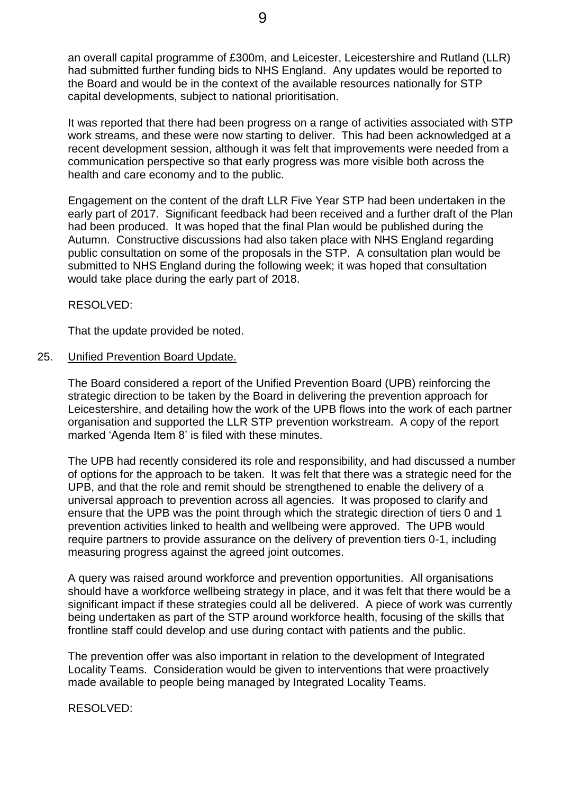an overall capital programme of £300m, and Leicester, Leicestershire and Rutland (LLR) had submitted further funding bids to NHS England. Any updates would be reported to the Board and would be in the context of the available resources nationally for STP capital developments, subject to national prioritisation.

It was reported that there had been progress on a range of activities associated with STP work streams, and these were now starting to deliver. This had been acknowledged at a recent development session, although it was felt that improvements were needed from a communication perspective so that early progress was more visible both across the health and care economy and to the public.

Engagement on the content of the draft LLR Five Year STP had been undertaken in the early part of 2017. Significant feedback had been received and a further draft of the Plan had been produced. It was hoped that the final Plan would be published during the Autumn. Constructive discussions had also taken place with NHS England regarding public consultation on some of the proposals in the STP. A consultation plan would be submitted to NHS England during the following week; it was hoped that consultation would take place during the early part of 2018.

RESOLVED:

That the update provided be noted.

#### 25. Unified Prevention Board Update.

The Board considered a report of the Unified Prevention Board (UPB) reinforcing the strategic direction to be taken by the Board in delivering the prevention approach for Leicestershire, and detailing how the work of the UPB flows into the work of each partner organisation and supported the LLR STP prevention workstream. A copy of the report marked 'Agenda Item 8' is filed with these minutes.

The UPB had recently considered its role and responsibility, and had discussed a number of options for the approach to be taken. It was felt that there was a strategic need for the UPB, and that the role and remit should be strengthened to enable the delivery of a universal approach to prevention across all agencies. It was proposed to clarify and ensure that the UPB was the point through which the strategic direction of tiers 0 and 1 prevention activities linked to health and wellbeing were approved. The UPB would require partners to provide assurance on the delivery of prevention tiers 0-1, including measuring progress against the agreed joint outcomes.

A query was raised around workforce and prevention opportunities. All organisations should have a workforce wellbeing strategy in place, and it was felt that there would be a significant impact if these strategies could all be delivered. A piece of work was currently being undertaken as part of the STP around workforce health, focusing of the skills that frontline staff could develop and use during contact with patients and the public.

The prevention offer was also important in relation to the development of Integrated Locality Teams. Consideration would be given to interventions that were proactively made available to people being managed by Integrated Locality Teams.

RESOLVED: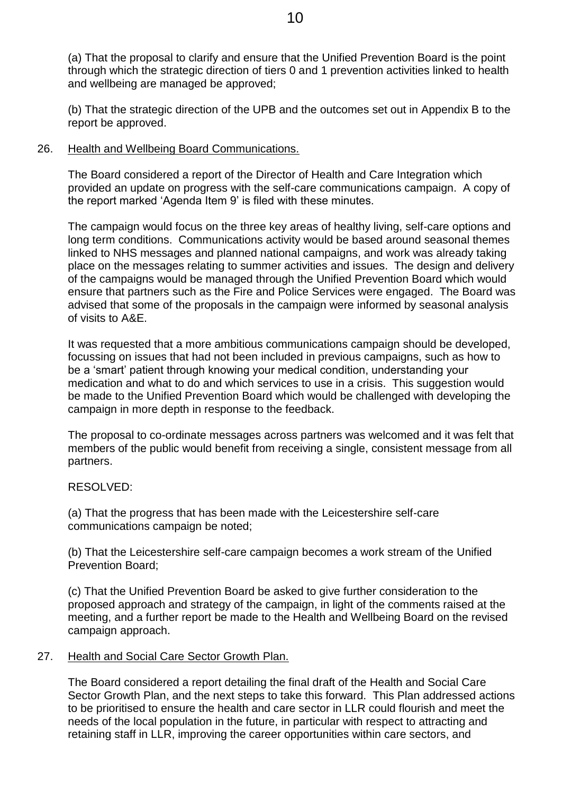(a) That the proposal to clarify and ensure that the Unified Prevention Board is the point through which the strategic direction of tiers 0 and 1 prevention activities linked to health and wellbeing are managed be approved;

(b) That the strategic direction of the UPB and the outcomes set out in Appendix B to the report be approved.

## 26. Health and Wellbeing Board Communications.

The Board considered a report of the Director of Health and Care Integration which provided an update on progress with the self-care communications campaign. A copy of the report marked 'Agenda Item 9' is filed with these minutes.

The campaign would focus on the three key areas of healthy living, self-care options and long term conditions. Communications activity would be based around seasonal themes linked to NHS messages and planned national campaigns, and work was already taking place on the messages relating to summer activities and issues. The design and delivery of the campaigns would be managed through the Unified Prevention Board which would ensure that partners such as the Fire and Police Services were engaged. The Board was advised that some of the proposals in the campaign were informed by seasonal analysis of visits to A&E.

It was requested that a more ambitious communications campaign should be developed, focussing on issues that had not been included in previous campaigns, such as how to be a 'smart' patient through knowing your medical condition, understanding your medication and what to do and which services to use in a crisis. This suggestion would be made to the Unified Prevention Board which would be challenged with developing the campaign in more depth in response to the feedback.

The proposal to co-ordinate messages across partners was welcomed and it was felt that members of the public would benefit from receiving a single, consistent message from all partners.

## RESOLVED:

(a) That the progress that has been made with the Leicestershire self-care communications campaign be noted;

(b) That the Leicestershire self-care campaign becomes a work stream of the Unified Prevention Board;

(c) That the Unified Prevention Board be asked to give further consideration to the proposed approach and strategy of the campaign, in light of the comments raised at the meeting, and a further report be made to the Health and Wellbeing Board on the revised campaign approach.

## 27. Health and Social Care Sector Growth Plan.

The Board considered a report detailing the final draft of the Health and Social Care Sector Growth Plan, and the next steps to take this forward. This Plan addressed actions to be prioritised to ensure the health and care sector in LLR could flourish and meet the needs of the local population in the future, in particular with respect to attracting and retaining staff in LLR, improving the career opportunities within care sectors, and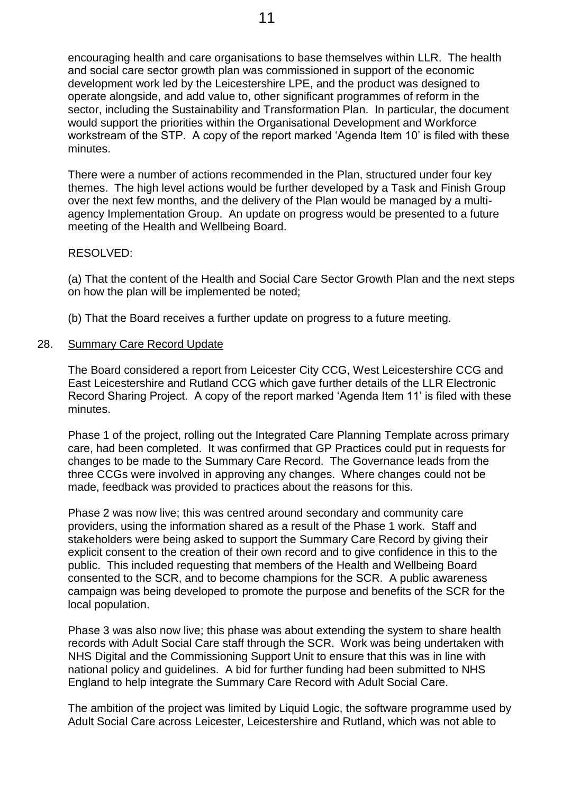encouraging health and care organisations to base themselves within LLR. The health and social care sector growth plan was commissioned in support of the economic development work led by the Leicestershire LPE, and the product was designed to operate alongside, and add value to, other significant programmes of reform in the sector, including the Sustainability and Transformation Plan. In particular, the document would support the priorities within the Organisational Development and Workforce workstream of the STP. A copy of the report marked 'Agenda Item 10' is filed with these minutes.

There were a number of actions recommended in the Plan, structured under four key themes. The high level actions would be further developed by a Task and Finish Group over the next few months, and the delivery of the Plan would be managed by a multiagency Implementation Group. An update on progress would be presented to a future meeting of the Health and Wellbeing Board.

#### RESOLVED:

(a) That the content of the Health and Social Care Sector Growth Plan and the next steps on how the plan will be implemented be noted;

(b) That the Board receives a further update on progress to a future meeting.

#### 28. Summary Care Record Update

The Board considered a report from Leicester City CCG, West Leicestershire CCG and East Leicestershire and Rutland CCG which gave further details of the LLR Electronic Record Sharing Project. A copy of the report marked 'Agenda Item 11' is filed with these minutes.

Phase 1 of the project, rolling out the Integrated Care Planning Template across primary care, had been completed. It was confirmed that GP Practices could put in requests for changes to be made to the Summary Care Record. The Governance leads from the three CCGs were involved in approving any changes. Where changes could not be made, feedback was provided to practices about the reasons for this.

Phase 2 was now live; this was centred around secondary and community care providers, using the information shared as a result of the Phase 1 work. Staff and stakeholders were being asked to support the Summary Care Record by giving their explicit consent to the creation of their own record and to give confidence in this to the public. This included requesting that members of the Health and Wellbeing Board consented to the SCR, and to become champions for the SCR. A public awareness campaign was being developed to promote the purpose and benefits of the SCR for the local population.

Phase 3 was also now live; this phase was about extending the system to share health records with Adult Social Care staff through the SCR. Work was being undertaken with NHS Digital and the Commissioning Support Unit to ensure that this was in line with national policy and guidelines. A bid for further funding had been submitted to NHS England to help integrate the Summary Care Record with Adult Social Care.

The ambition of the project was limited by Liquid Logic, the software programme used by Adult Social Care across Leicester, Leicestershire and Rutland, which was not able to